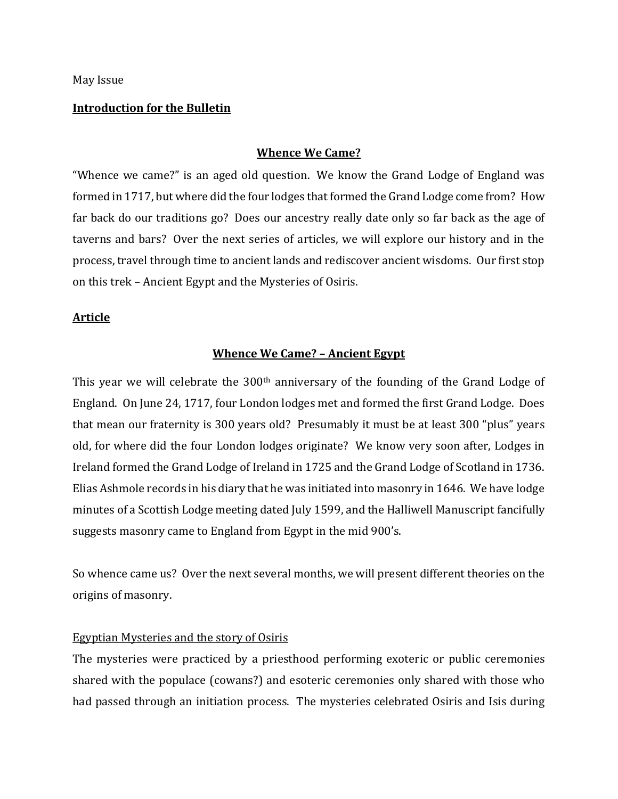May Issue

#### **Introduction for the Bulletin**

# **Whence We Came?**

"Whence we came?" is an aged old question. We know the Grand Lodge of England was formed in 1717, but where did the four lodges that formed the Grand Lodge come from? How far back do our traditions go? Does our ancestry really date only so far back as the age of taverns and bars? Over the next series of articles, we will explore our history and in the process, travel through time to ancient lands and rediscover ancient wisdoms. Our first stop on this trek – Ancient Egypt and the Mysteries of Osiris.

## **Article**

## **Whence We Came? – Ancient Egypt**

This year we will celebrate the 300<sup>th</sup> anniversary of the founding of the Grand Lodge of England. On June 24, 1717, four London lodges met and formed the first Grand Lodge. Does that mean our fraternity is 300 years old? Presumably it must be at least 300 "plus" years old, for where did the four London lodges originate? We know very soon after, Lodges in Ireland formed the Grand Lodge of Ireland in 1725 and the Grand Lodge of Scotland in 1736. Elias Ashmole records in his diary that he was initiated into masonry in 1646. We have lodge minutes of a Scottish Lodge meeting dated July 1599, and the Halliwell Manuscript fancifully suggests masonry came to England from Egypt in the mid 900's.

So whence came us? Over the next several months, we will present different theories on the origins of masonry.

#### Egyptian Mysteries and the story of Osiris

The mysteries were practiced by a priesthood performing exoteric or public ceremonies shared with the populace (cowans?) and esoteric ceremonies only shared with those who had passed through an initiation process. The mysteries celebrated Osiris and Isis during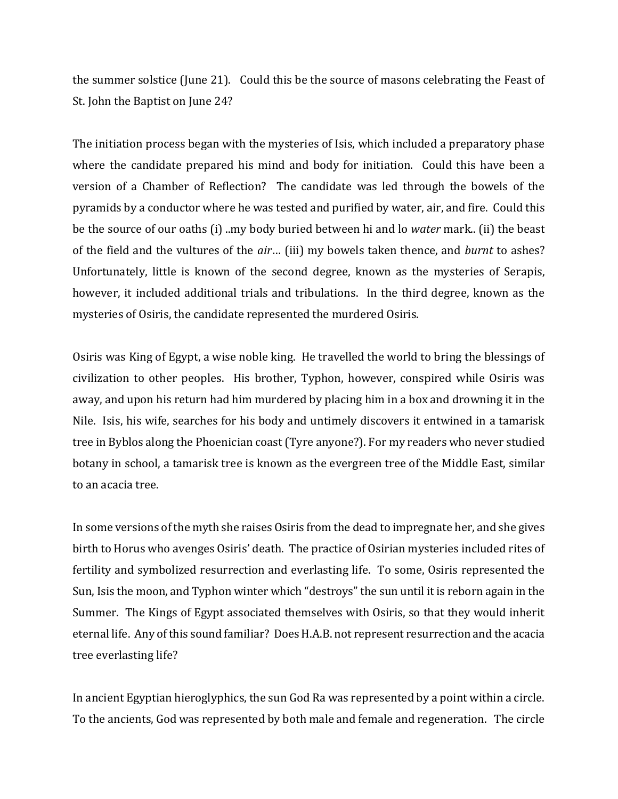the summer solstice (June 21). Could this be the source of masons celebrating the Feast of St. John the Baptist on June 24?

The initiation process began with the mysteries of Isis, which included a preparatory phase where the candidate prepared his mind and body for initiation. Could this have been a version of a Chamber of Reflection? The candidate was led through the bowels of the pyramids by a conductor where he was tested and purified by water, air, and fire. Could this be the source of our oaths (i) ..my body buried between hi and lo *water* mark.. (ii) the beast of the field and the vultures of the *air*… (iii) my bowels taken thence, and *burnt* to ashes? Unfortunately, little is known of the second degree, known as the mysteries of Serapis, however, it included additional trials and tribulations. In the third degree, known as the mysteries of Osiris, the candidate represented the murdered Osiris.

Osiris was King of Egypt, a wise noble king. He travelled the world to bring the blessings of civilization to other peoples. His brother, Typhon, however, conspired while Osiris was away, and upon his return had him murdered by placing him in a box and drowning it in the Nile. Isis, his wife, searches for his body and untimely discovers it entwined in a tamarisk tree in Byblos along the Phoenician coast (Tyre anyone?). For my readers who never studied botany in school, a tamarisk tree is known as the evergreen tree of the Middle East, similar to an acacia tree.

In some versions of the myth she raises Osiris from the dead to impregnate her, and she gives birth to Horus who avenges Osiris' death. The practice of Osirian mysteries included rites of fertility and symbolized resurrection and everlasting life. To some, Osiris represented the Sun, Isis the moon, and Typhon winter which "destroys" the sun until it is reborn again in the Summer. The Kings of Egypt associated themselves with Osiris, so that they would inherit eternal life. Any of this sound familiar? Does H.A.B. not represent resurrection and the acacia tree everlasting life?

In ancient Egyptian hieroglyphics, the sun God Ra was represented by a point within a circle. To the ancients, God was represented by both male and female and regeneration. The circle